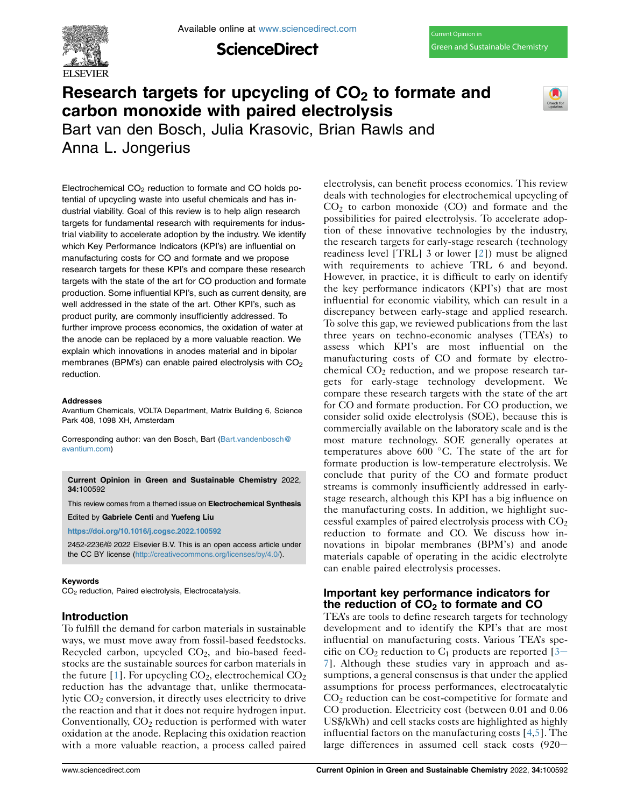

**ScienceDirect** 

# Research targets for upcycling of  $CO<sub>2</sub>$  to formate and carbon monoxide with paired electrolysis



Bart van den Bosch, Julia Krasovic, Brian Rawls and Anna L. Jongerius

Electrochemical  $CO<sub>2</sub>$  reduction to formate and CO holds potential of upcycling waste into useful chemicals and has industrial viability. Goal of this review is to help align research targets for fundamental research with requirements for industrial viability to accelerate adoption by the industry. We identify which Key Performance Indicators (KPI's) are influential on manufacturing costs for CO and formate and we propose research targets for these KPI's and compare these research targets with the state of the art for CO production and formate production. Some influential KPI's, such as current density, are well addressed in the state of the art. Other KPI's, such as product purity, are commonly insufficiently addressed. To further improve process economics, the oxidation of water at the anode can be replaced by a more valuable reaction. We explain which innovations in anodes material and in bipolar membranes (BPM's) can enable paired electrolysis with  $CO<sub>2</sub>$ reduction.

#### Addresses

Avantium Chemicals, VOLTA Department, Matrix Building 6, Science Park 408, 1098 XH, Amsterdam

Corresponding author: van den Bosch, Bart ([Bart.vandenbosch@](mailto:Bart.vandenbosch@avantium.com) [avantium.com\)](mailto:Bart.vandenbosch@avantium.com)

Current Opinion in Green and Sustainable Chemistry 2022, 34:100592

This review comes from a themed issue on Electrochemical Synthesis

Edited by Gabriele Centi and Yuefeng Liu

<https://doi.org/10.1016/j.cogsc.2022.100592>

2452-2236/© 2022 Elsevier B.V. This is an open access article under the CC BY license [\(http://creativecommons.org/licenses/by/4.0/](http://creativecommons.org/licenses/by/4.0/)).

#### Keywords

CO<sub>2</sub> reduction, Paired electrolysis, Electrocatalysis.

## Introduction

To fulfill the demand for carbon materials in sustainable ways, we must move away from fossil-based feedstocks. Recycled carbon, upcycled CO2, and bio-based feedstocks are the sustainable sources for carbon materials in the future [[1\]](#page-4-0). For upcycling  $CO_2$ , electrochemical  $CO_2$ reduction has the advantage that, unlike thermocatalytic  $CO<sub>2</sub>$  conversion, it directly uses electricity to drive the reaction and that it does not require hydrogen input. Conventionally,  $CO<sub>2</sub>$  reduction is performed with water oxidation at the anode. Replacing this oxidation reaction with a more valuable reaction, a process called paired deals with technologies for electrochemical upcycling of  $CO<sub>2</sub>$  to carbon monoxide (CO) and formate and the possibilities for paired electrolysis. To accelerate adoption of these innovative technologies by the industry, the research targets for early-stage research (technology readiness level [TRL] 3 or lower [[2\]](#page-4-1)) must be aligned with requirements to achieve TRL 6 and beyond. However, in practice, it is difficult to early on identify the key performance indicators (KPI's) that are most influential for economic viability, which can result in a discrepancy between early-stage and applied research. To solve this gap, we reviewed publications from the last three years on techno-economic analyses (TEA's) to assess which KPI's are most influential on the manufacturing costs of CO and formate by electrochemical  $CO<sub>2</sub>$  reduction, and we propose research targets for early-stage technology development. We compare these research targets with the state of the art for CO and formate production. For CO production, we consider solid oxide electrolysis (SOE), because this is commercially available on the laboratory scale and is the most mature technology. SOE generally operates at temperatures above 600 $^{\circ}$ C. The state of the art for formate production is low-temperature electrolysis. We conclude that purity of the CO and formate product streams is commonly insufficiently addressed in earlystage research, although this KPI has a big influence on the manufacturing costs. In addition, we highlight successful examples of paired electrolysis process with  $CO<sub>2</sub>$ reduction to formate and CO. We discuss how innovations in bipolar membranes (BPM's) and anode materials capable of operating in the acidic electrolyte can enable paired electrolysis processes.

electrolysis, can benefit process economics. This review

# Important key performance indicators for the reduction of  $CO<sub>2</sub>$  to formate and CO

TEA's are tools to define research targets for technology development and to identify the KPI's that are most influential on manufacturing costs. Various TEA's specific on  $CO_2$  reduction to  $C_1$  products are reported [\[3](#page-4-2)– [7](#page-4-2)]. Although these studies vary in approach and assumptions, a general consensus is that under the applied assumptions for process performances, electrocatalytic  $CO<sub>2</sub>$  reduction can be cost-competitive for formate and CO production. Electricity cost (between 0.01 and 0.06 US\$/kWh) and cell stacks costs are highlighted as highly influential factors on the manufacturing costs [\[4](#page-4-3),[5](#page-4-4)]. The large differences in assumed cell stack costs  $(920-$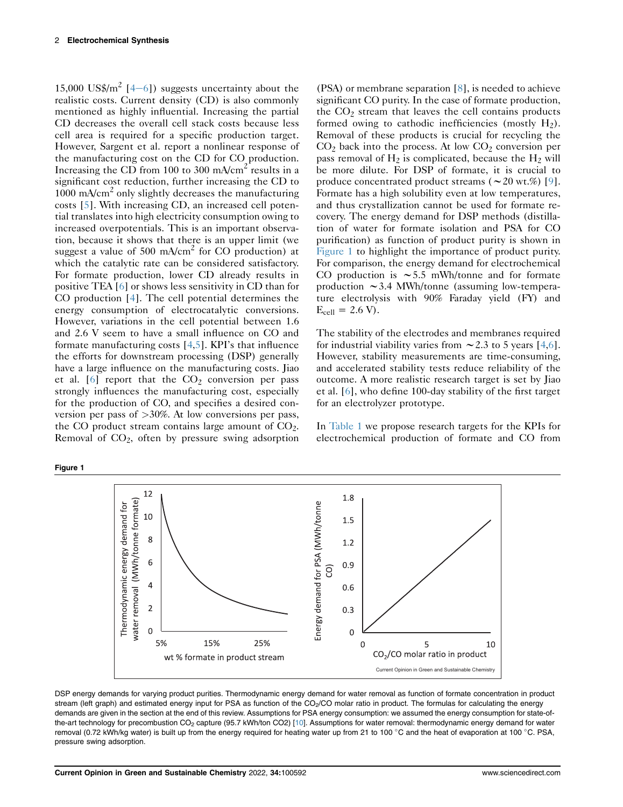15,000 US\$/ $m^2$  [[4](#page-4-3)-[6](#page-4-3)]) suggests uncertainty about the realistic costs. Current density (CD) is also commonly mentioned as highly influential. Increasing the partial CD decreases the overall cell stack costs because less cell area is required for a specific production target. However, Sargent et al. report a nonlinear response of the manufacturing cost on the CD for CO production. Increasing the CD from 100 to 300 mA/cm<sup>2</sup> results in a significant cost reduction, further increasing the CD to 1000 mA/cm<sup>2</sup> only slightly decreases the manufacturing costs [[5\]](#page-4-4). With increasing CD, an increased cell potential translates into high electricity consumption owing to increased overpotentials. This is an important observation, because it shows that there is an upper limit (we suggest a value of 500 mA/cm<sup>2</sup> for CO production) at which the catalytic rate can be considered satisfactory. For formate production, lower CD already results in positive TEA [\[6](#page-4-5)] or shows less sensitivity in CD than for CO production [[4\]](#page-4-3). The cell potential determines the energy consumption of electrocatalytic conversions. However, variations in the cell potential between 1.6 and 2.6 V seem to have a small influence on CO and formate manufacturing costs [\[4](#page-4-3),[5](#page-4-4)]. KPI's that influence the efforts for downstream processing (DSP) generally have a large influence on the manufacturing costs. Jiao et al.  $[6]$  report that the  $CO<sub>2</sub>$  conversion per pass strongly influences the manufacturing cost, especially for the production of CO, and specifies a desired conversion per pass of >30%. At low conversions per pass, the CO product stream contains large amount of  $CO<sub>2</sub>$ . Removal of  $CO<sub>2</sub>$ , often by pressure swing adsorption

(PSA) or membrane separation [[8](#page-4-6)], is needed to achieve significant CO purity. In the case of formate production, the  $CO<sub>2</sub>$  stream that leaves the cell contains products formed owing to cathodic inefficiencies (mostly  $H_2$ ). Removal of these products is crucial for recycling the  $CO<sub>2</sub>$  back into the process. At low  $CO<sub>2</sub>$  conversion per pass removal of  $H_2$  is complicated, because the  $H_2$  will be more dilute. For DSP of formate, it is crucial to produce concentrated product streams ( $\sim$  20 wt.%) [\[9\]](#page-4-7). Formate has a high solubility even at low temperatures, and thus crystallization cannot be used for formate recovery. The energy demand for DSP methods (distillation of water for formate isolation and PSA for CO purification) as function of product purity is shown in [Figure 1](#page-1-0) to highlight the importance of product purity. For comparison, the energy demand for electrochemical CO production is  $\sim$  5.5 mWh/tonne and for formate production  $\sim$  3.4 MWh/tonne (assuming low-temperature electrolysis with 90% Faraday yield (FY) and  $E_{cell} = 2.6 \text{ V}.$ 

The stability of the electrodes and membranes required for industrial viability varies from  $\sim$  2.3 to 5 years [[4](#page-4-3)[,6\]](#page-4-5). However, stability measurements are time-consuming, and accelerated stability tests reduce reliability of the outcome. A more realistic research target is set by Jiao et al. [\[6](#page-4-5)], who define 100-day stability of the first target for an electrolyzer prototype.

In [Table 1](#page-2-0) we propose research targets for the KPIs for electrochemical production of formate and CO from



DSP energy demands for varying product purities. Thermodynamic energy demand for water removal as function of formate concentration in product stream (left graph) and estimated energy input for PSA as function of the CO<sub>2</sub>/CO molar ratio in product. The formulas for calculating the energy demands are given in the section at the end of this review. Assumptions for PSA energy consumption: we assumed the energy consumption for state-of-the-art technology for precombustion CO<sub>2</sub> capture (95.7 kWh/ton CO2) [\[10](#page-5-0)]. Assumptions for water removal: thermodynamic energy demand for water removal (0.72 kWh/kg water) is built up from the energy required for heating water up from 21 to 100 °C and the heat of evaporation at 100 °C. PSA, pressure swing adsorption.

<span id="page-1-0"></span>Figure 1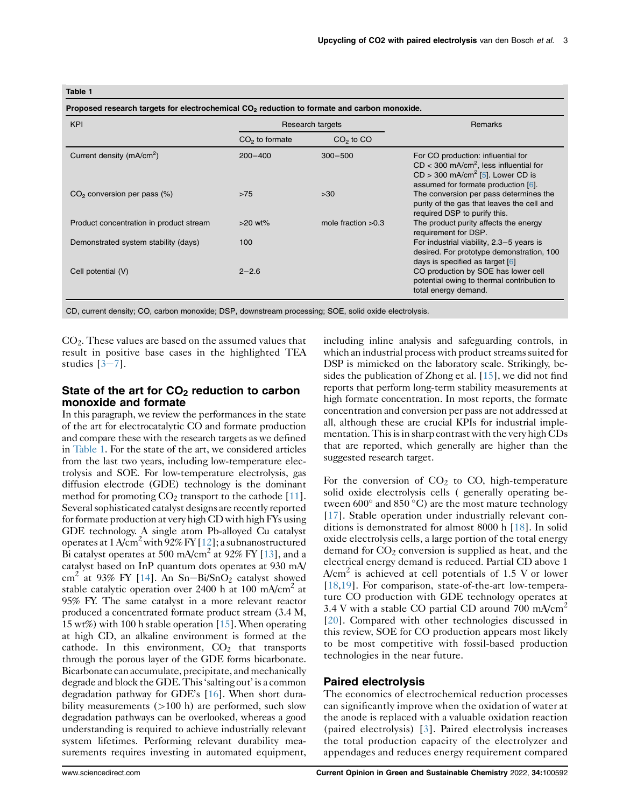#### <span id="page-2-0"></span>Table 1

Proposed research targets for electrochemical CO<sub>2</sub> reduction to formate and carbon monoxide. KPI Research targets Research targets Research targets Remarks Remarks Remarks Remarks  $CO<sub>2</sub>$  to formate  $CO<sub>2</sub>$  to  $CO<sub>2</sub>$ Current density (mA/cm<sup>2</sup>) ) 200–400 300–500 For CO production: influential for  $CD < 300$  mA/cm<sup>2</sup>, less influential for  $CD > 300$  mA/cm<sup>2</sup> [\[5](#page-4-4)]. Lower CD is assumed for formate production [\[6\]](#page-4-5). CO<sub>2</sub> conversion per pass (%)  $>75$   $>30$  The conversion per pass determines the purity of the gas that leaves the cell and required DSP to purify this. Product concentration in product stream >20 wt% mole fraction >0.3 The product purity affects the energy requirement for DSP. Demonstrated system stability (days) 100 For industrial viability, 2.3–5 years is desired. For prototype demonstration, 100 days is specified as target [[6](#page-4-5)] Cell potential (V) 2–2.6 CO production by SOE has lower cell potential owing to thermal contribution to total energy demand.

CD, current density; CO, carbon monoxide; DSP, downstream processing; SOE, solid oxide electrolysis.

 $CO<sub>2</sub>$ . These values are based on the assumed values that result in positive base cases in the highlighted TEA studies  $[3-7]$  $[3-7]$  $[3-7]$  $[3-7]$ .

## State of the art for  $CO<sub>2</sub>$  reduction to carbon monoxide and formate

In this paragraph, we review the performances in the state of the art for electrocatalytic CO and formate production and compare these with the research targets as we defined in [Table 1](#page-2-0). For the state of the art, we considered articles from the last two years, including low-temperature electrolysis and SOE. For low-temperature electrolysis, gas diffusion electrode (GDE) technology is the dominant method for promoting  $CO<sub>2</sub>$  transport to the cathode [\[11\]](#page-5-1). Several sophisticated catalyst designs are recently reported for formate production at very high CD with high FYs using GDE technology. A single atom Pb-alloyed Cu catalyst operates at  $1$  A/cm<sup>2</sup> with 92% FY [\[12](#page-5-2)]; a subnanostructured Bi catalyst operates at 500 mA/cm<sup>2</sup> at 92% FY [\[13](#page-5-3)], and a catalyst based on InP quantum dots operates at 930 mA/ cm<sup>2</sup> at 93% FY [[14\]](#page-5-4). An Sn-Bi/SnO<sub>2</sub> catalyst showed stable catalytic operation over 2400 h at 100 mA/cm<sup>2</sup> at 95% FY. The same catalyst in a more relevant reactor produced a concentrated formate product stream (3.4 M, 15 wt%) with 100 h stable operation [\[15](#page-5-5)]. When operating at high CD, an alkaline environment is formed at the cathode. In this environment,  $CO<sub>2</sub>$  that transports through the porous layer of the GDE forms bicarbonate. Bicarbonate can accumulate, precipitate, and mechanically degrade and block the GDE. This 'salting out' is a common degradation pathway for GDE's [[16\]](#page-5-6). When short durability measurements  $(>100 h)$  are performed, such slow degradation pathways can be overlooked, whereas a good understanding is required to achieve industrially relevant system lifetimes. Performing relevant durability measurements requires investing in automated equipment, including inline analysis and safeguarding controls, in which an industrial process with product streams suited for DSP is mimicked on the laboratory scale. Strikingly, besides the publication of Zhong et al. [\[15](#page-5-5)], we did not find reports that perform long-term stability measurements at high formate concentration. In most reports, the formate concentration and conversion per pass are not addressed at all, although these are crucial KPIs for industrial implementation. This is in sharp contrast with the very high CDs that are reported, which generally are higher than the suggested research target.

For the conversion of  $CO<sub>2</sub>$  to CO, high-temperature solid oxide electrolysis cells ( generally operating between  $600^\circ$  and  $850^\circ$ C) are the most mature technology [\[17\]](#page-5-7). Stable operation under industrially relevant conditions is demonstrated for almost 8000 h [[18](#page-5-8)]. In solid oxide electrolysis cells, a large portion of the total energy demand for  $CO<sub>2</sub>$  conversion is supplied as heat, and the electrical energy demand is reduced. Partial CD above 1  $A/cm<sup>2</sup>$  is achieved at cell potentials of 1.5 V or lower [\[18](#page-5-8)[,19\]](#page-5-9). For comparison, state-of-the-art low-temperature CO production with GDE technology operates at 3.4 V with a stable CO partial CD around 700 mA/cm<sup>2</sup> [\[20\]](#page-5-10). Compared with other technologies discussed in this review, SOE for CO production appears most likely to be most competitive with fossil-based production technologies in the near future.

### Paired electrolysis

The economics of electrochemical reduction processes can significantly improve when the oxidation of water at the anode is replaced with a valuable oxidation reaction (paired electrolysis) [\[3\]](#page-4-2). Paired electrolysis increases the total production capacity of the electrolyzer and appendages and reduces energy requirement compared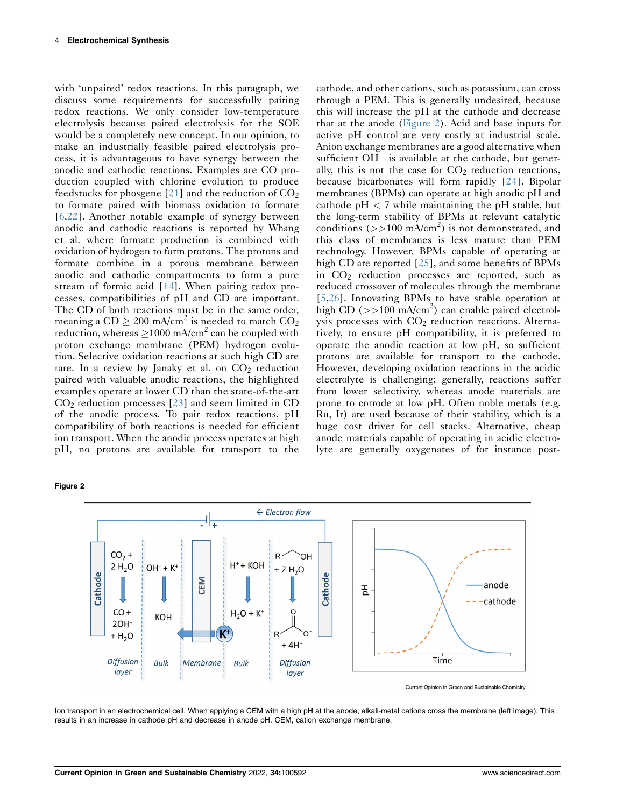with 'unpaired' redox reactions. In this paragraph, we discuss some requirements for successfully pairing redox reactions. We only consider low-temperature electrolysis because paired electrolysis for the SOE would be a completely new concept. In our opinion, to make an industrially feasible paired electrolysis process, it is advantageous to have synergy between the anodic and cathodic reactions. Examples are CO production coupled with chlorine evolution to produce feedstocks for phosgene  $[21]$  $[21]$  $[21]$  and the reduction of  $CO<sub>2</sub>$ to formate paired with biomass oxidation to formate [\[6](#page-4-5),[22\]](#page-5-12). Another notable example of synergy between anodic and cathodic reactions is reported by Whang et al. where formate production is combined with oxidation of hydrogen to form protons. The protons and formate combine in a porous membrane between anodic and cathodic compartments to form a pure stream of formic acid [\[14\]](#page-5-4). When pairing redox processes, compatibilities of pH and CD are important. The CD of both reactions must be in the same order, meaning a  $CD \ge 200$  mA/cm<sup>2</sup> is needed to match  $CO<sub>2</sub>$ reduction, whereas  $> 1000$  mA/cm<sup>2</sup> can be coupled with proton exchange membrane (PEM) hydrogen evolution. Selective oxidation reactions at such high CD are rare. In a review by Janaky et al. on  $CO<sub>2</sub>$  reduction paired with valuable anodic reactions, the highlighted examples operate at lower CD than the state-of-the-art  $CO<sub>2</sub>$  reduction processes [[23](#page-5-13)] and seem limited in CD of the anodic process. To pair redox reactions, pH compatibility of both reactions is needed for efficient ion transport. When the anodic process operates at high pH, no protons are available for transport to the

cathode, and other cations, such as potassium, can cross through a PEM. This is generally undesired, because this will increase the pH at the cathode and decrease that at the anode [\(Figure 2\)](#page-3-0). Acid and base inputs for active pH control are very costly at industrial scale. Anion exchange membranes are a good alternative when sufficient  $OH^-$  is available at the cathode, but generally, this is not the case for  $CO<sub>2</sub>$  reduction reactions, because bicarbonates will form rapidly [[24](#page-5-14)]. Bipolar membranes (BPMs) can operate at high anodic pH and cathode  $pH < 7$  while maintaining the  $pH$  stable, but the long-term stability of BPMs at relevant catalytic conditions ( $>>100 \text{ mA/cm}^2$ ) is not demonstrated, and this class of membranes is less mature than PEM technology. However, BPMs capable of operating at high CD are reported [[25](#page-5-15)], and some benefits of BPMs in CO2 reduction processes are reported, such as reduced crossover of molecules through the membrane [\[5,](#page-4-4)[26\]](#page-5-16). Innovating BPMs to have stable operation at high CD ( $>>100 \text{ mA/cm}^2$ ) can enable paired electrolysis processes with  $CO<sub>2</sub>$  reduction reactions. Alternatively, to ensure pH compatibility, it is preferred to operate the anodic reaction at low pH, so sufficient protons are available for transport to the cathode. However, developing oxidation reactions in the acidic electrolyte is challenging; generally, reactions suffer from lower selectivity, whereas anode materials are prone to corrode at low pH. Often noble metals (e.g. Ru, Ir) are used because of their stability, which is a huge cost driver for cell stacks. Alternative, cheap anode materials capable of operating in acidic electrolyte are generally oxygenates of for instance post-

<span id="page-3-0"></span>

Ion transport in an electrochemical cell. When applying a CEM with a high pH at the anode, alkali-metal cations cross the membrane (left image). This results in an increase in cathode pH and decrease in anode pH. CEM, cation exchange membrane.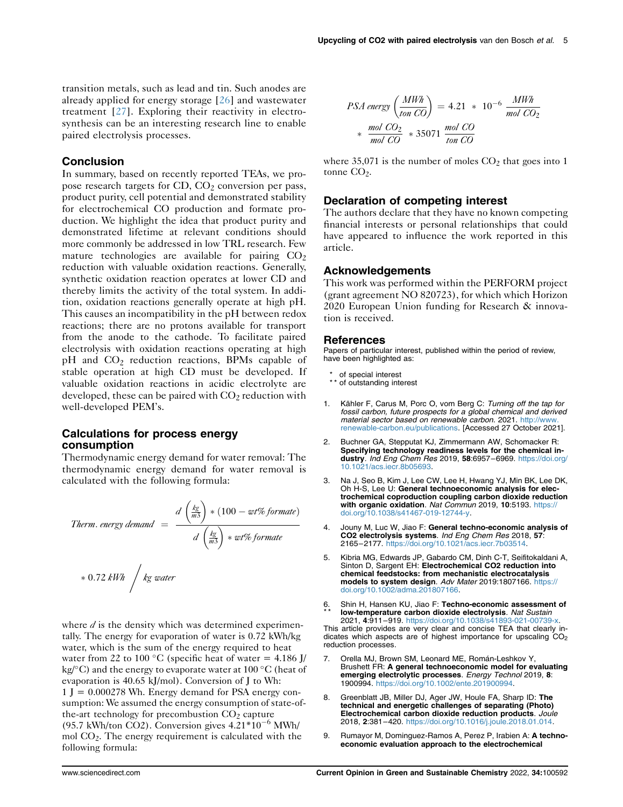transition metals, such as lead and tin. Such anodes are already applied for energy storage [[26](#page-5-16)] and wastewater treatment [[27](#page-5-17)]. Exploring their reactivity in electrosynthesis can be an interesting research line to enable paired electrolysis processes.

## Conclusion

In summary, based on recently reported TEAs, we propose research targets for  $CD$ ,  $CO<sub>2</sub>$  conversion per pass, product purity, cell potential and demonstrated stability for electrochemical CO production and formate production. We highlight the idea that product purity and demonstrated lifetime at relevant conditions should more commonly be addressed in low TRL research. Few mature technologies are available for pairing  $CO<sub>2</sub>$ reduction with valuable oxidation reactions. Generally, synthetic oxidation reaction operates at lower CD and thereby limits the activity of the total system. In addition, oxidation reactions generally operate at high pH. This causes an incompatibility in the pH between redox reactions; there are no protons available for transport from the anode to the cathode. To facilitate paired electrolysis with oxidation reactions operating at high  $pH$  and  $CO<sub>2</sub>$  reduction reactions, BPMs capable of stable operation at high CD must be developed. If valuable oxidation reactions in acidic electrolyte are developed, these can be paired with  $CO<sub>2</sub>$  reduction with well-developed PEM's.

## Calculations for process energy consumption

Thermodynamic energy demand for water removal: The thermodynamic energy demand for water removal is calculated with the following formula:

*Therm. energy demand* = 
$$
\frac{d \left(\frac{kg}{m^3}\right) * (100 - wt\% \text{ formate})}{d \left(\frac{kg}{m^3}\right) * wt\% \text{ for mate}}
$$

$$
\begin{array}{c|c}\n * 0.72 \text{ } kWh & \text{ } kg \text{ water}\n\end{array}
$$

where  $d$  is the density which was determined experimentally. The energy for evaporation of water is 0.72 kWh/kg water, which is the sum of the energy required to heat water from 22 to 100 °C (specific heat of water = 4.186 J/ kg/ $\rm ^{\circ}C$ ) and the energy to evaporate water at 100  $\rm ^{\circ}C$  (heat of evaporation is 40.65 kJ/mol). Conversion of J to Wh:  $1 J = 0.000278$  Wh. Energy demand for PSA energy consumption: We assumed the energy consumption of state-ofthe-art technology for precombustion  $CO<sub>2</sub>$  capture (95.7 kWh/ton CO2). Conversion gives  $4.21*10^{-6}$  MWh/ mol  $CO<sub>2</sub>$ . The energy requirement is calculated with the following formula:

$$
PSA\text{ energy }\left(\frac{MWh}{ton\text{ }CO}\right) = 4.21 \times 10^{-6} \frac{MWh}{mol\text{ }CO_2}
$$

$$
\times \frac{mol\text{ }CO_2}{mol\text{ }CO} \times 35071 \frac{mol\text{ }CO}{ton\text{ }CO}
$$

where  $35,071$  is the number of moles  $CO<sub>2</sub>$  that goes into 1 tonne  $CO<sub>2</sub>$ .

## Declaration of competing interest

The authors declare that they have no known competing financial interests or personal relationships that could have appeared to influence the work reported in this article.

#### **Acknowledgements**

This work was performed within the PERFORM project (grant agreement NO 820723), for which which Horizon 2020 European Union funding for Research & innovation is received.

#### References

Papers of particular interest, published within the period of review, have been highlighted as:

- of special interest
- \*\* of outstanding interest
- <span id="page-4-0"></span>Kähler F, Carus M, Porc O, vom Berg C: Turning off the tap for fossil carbon, future prospects for a global chemical and derived material sector based on renewable carbon. 2021. [http://www.](http://www.renewable-carbon.eu/publications) [renewable-carbon.eu/publications](http://www.renewable-carbon.eu/publications). [Accessed 27 October 2021].
- <span id="page-4-1"></span>2. Buchner GA, Stepputat KJ, Zimmermann AW, Schomacker R: Specifying technology readiness levels for the chemical industry. Ind Eng Chem Res 2019, 58:6957–6969. [https://doi.org/](https://doi.org/10.1021/acs.iecr.8b05693) [10.1021/acs.iecr.8b05693.](https://doi.org/10.1021/acs.iecr.8b05693)
- <span id="page-4-2"></span>3. Na J, Seo B, Kim J, Lee CW, Lee H, Hwang YJ, Min BK, Lee DK, Oh H-S, Lee U: General technoeconomic analysis for electrochemical coproduction coupling carbon dioxide reduction with organic oxidation. Nat Commun 2019, 10:5193. https:/ [doi.org/10.1038/s41467-019-12744-y.](https://doi.org/10.1038/s41467-019-12744-y)
- <span id="page-4-3"></span>4. Jouny M, Luc W, Jiao F: General techno-economic analysis of CO2 electrolysis systems. Ind Eng Chem Res 2018, 57: 2165–2177. <https://doi.org/10.1021/acs.iecr.7b03514>.
- <span id="page-4-4"></span>5. Kibria MG, Edwards JP, Gabardo CM, Dinh C-T, Seifitokaldani A, Sinton D. Sargent EH: Electrochemical CO2 reduction into chemical feedstocks: from mechanistic electrocatalysis models to system design. Adv Mater 2019:1807166. [https://](https://doi.org/10.1002/adma.201807166) [doi.org/10.1002/adma.201807166.](https://doi.org/10.1002/adma.201807166)
- <span id="page-4-5"></span>6 \* \* . Shin H, Hansen KU, Jiao F: Techno-economic assessment of low-temperature carbon dioxide electrolysis. Nat Sustain 2021, 4:911–919. <https://doi.org/10.1038/s41893-021-00739-x>. This article provides are very clear and concise TEA that clearly indicates which aspects are of highest importance for upscaling  $CO<sub>2</sub>$ reduction processes.
- 7. Orella MJ, Brown SM, Leonard ME, Román-Leshkov Y, Brushett FR: A general technoeconomic model for evaluating emerging electrolytic processes. Energy Technol 2019, 8: 1900994. <https://doi.org/10.1002/ente.201900994>.
- <span id="page-4-6"></span>8. Greenblatt JB, Miller DJ, Ager JW, Houle FA, Sharp ID: The technical and energetic challenges of separating (Photo) Electrochemical carbon dioxide reduction products. Joule 2018, 2:381–420. <https://doi.org/10.1016/j.joule.2018.01.014>.
- <span id="page-4-7"></span>9. Rumayor M, Dominguez-Ramos A, Perez P, Irabien A: A technoeconomic evaluation approach to the electrochemical